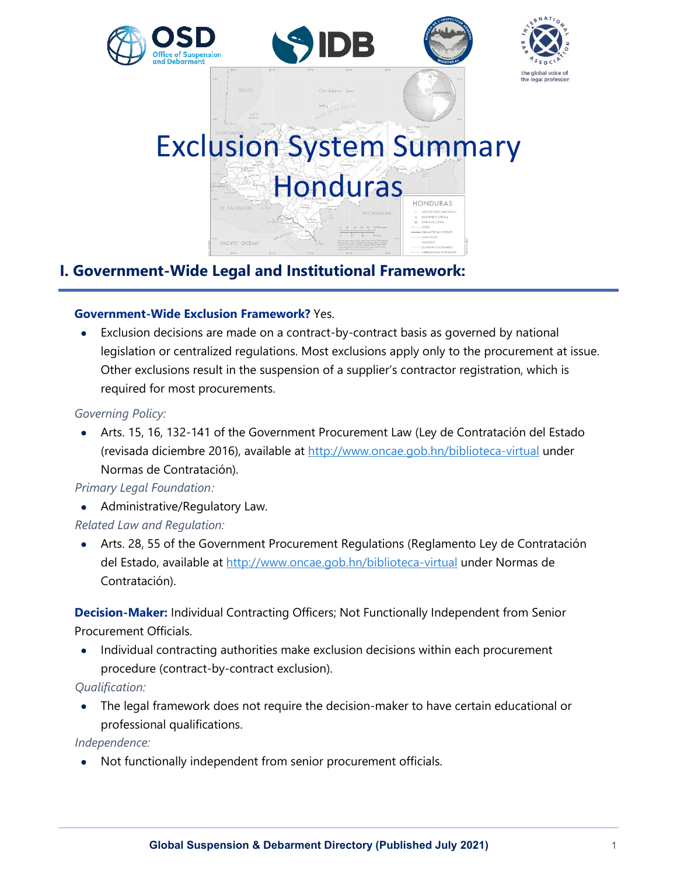

# **I. Government-Wide Legal and Institutional Framework:**

# **Government-Wide Exclusion Framework?** Yes.

• Exclusion decisions are made on a contract-by-contract basis as governed by national legislation or centralized regulations. Most exclusions apply only to the procurement at issue. Other exclusions result in the suspension of a supplier's contractor registration, which is required for most procurements.

# *Governing Policy:*

• Arts. 15, 16, 132-141 of the Government Procurement Law (Ley de Contratación del Estado (revisada diciembre 2016), available at<http://www.oncae.gob.hn/biblioteca-virtual> under Normas de Contratación).

# *Primary Legal Foundation:*

• Administrative/Regulatory Law.

*Related Law and Regulation:*

• Arts. 28, 55 of the Government Procurement Regulations (Reglamento Ley de Contratación del Estado, available at<http://www.oncae.gob.hn/biblioteca-virtual> under Normas de Contratación).

**Decision-Maker:** Individual Contracting Officers; Not Functionally Independent from Senior Procurement Officials.

• Individual contracting authorities make exclusion decisions within each procurement procedure (contract-by-contract exclusion).

*Qualification:*

• The legal framework does not require the decision-maker to have certain educational or professional qualifications.

*Independence:*

• Not functionally independent from senior procurement officials.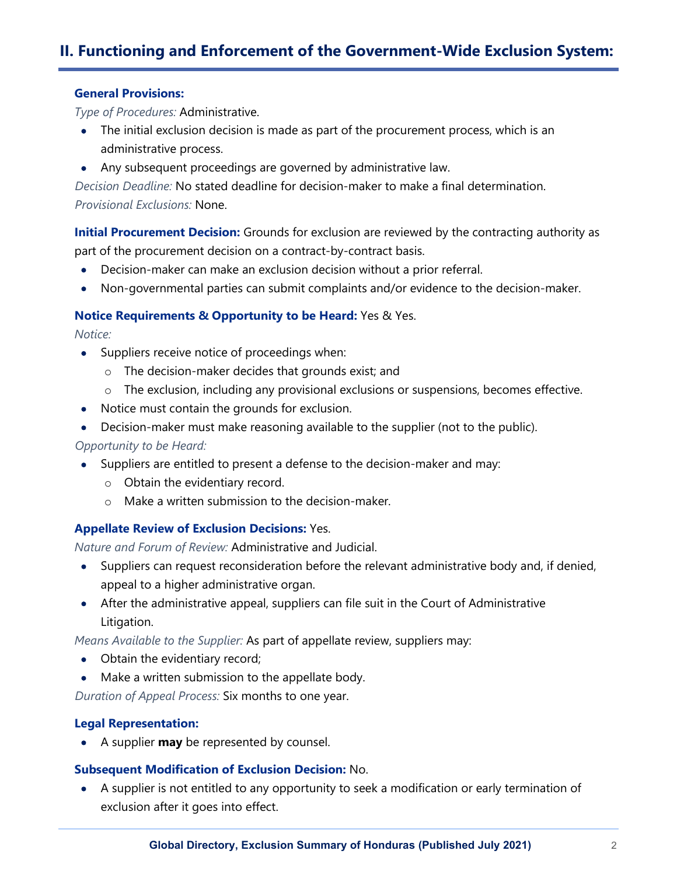# **II. Functioning and Enforcement of the Government-Wide Exclusion System:**

#### **General Provisions:**

*Type of Procedures:* Administrative.

- The initial exclusion decision is made as part of the procurement process, which is an administrative process.
- Any subsequent proceedings are governed by administrative law.

*Decision Deadline:* No stated deadline for decision-maker to make a final determination. *Provisional Exclusions:* None.

**Initial Procurement Decision:** Grounds for exclusion are reviewed by the contracting authority as part of the procurement decision on a contract-by-contract basis.

- Decision-maker can make an exclusion decision without a prior referral.
- Non-governmental parties can submit complaints and/or evidence to the decision-maker.

#### **Notice Requirements & Opportunity to be Heard:** Yes & Yes.

*Notice:*

- Suppliers receive notice of proceedings when:
	- o The decision-maker decides that grounds exist; and
	- o The exclusion, including any provisional exclusions or suspensions, becomes effective.
- Notice must contain the grounds for exclusion.
- Decision-maker must make reasoning available to the supplier (not to the public).

*Opportunity to be Heard:*

- Suppliers are entitled to present a defense to the decision-maker and may:
	- o Obtain the evidentiary record.
	- o Make a written submission to the decision-maker.

#### **Appellate Review of Exclusion Decisions:** Yes.

*Nature and Forum of Review:* Administrative and Judicial.

- Suppliers can request reconsideration before the relevant administrative body and, if denied, appeal to a higher administrative organ.
- After the administrative appeal, suppliers can file suit in the Court of Administrative Litigation.

*Means Available to the Supplier:* As part of appellate review, suppliers may:

- Obtain the evidentiary record;
- Make a written submission to the appellate body.

*Duration of Appeal Process:* Six months to one year.

#### **Legal Representation:**

• A supplier **may** be represented by counsel.

#### **Subsequent Modification of Exclusion Decision:** No.

• A supplier is not entitled to any opportunity to seek a modification or early termination of exclusion after it goes into effect.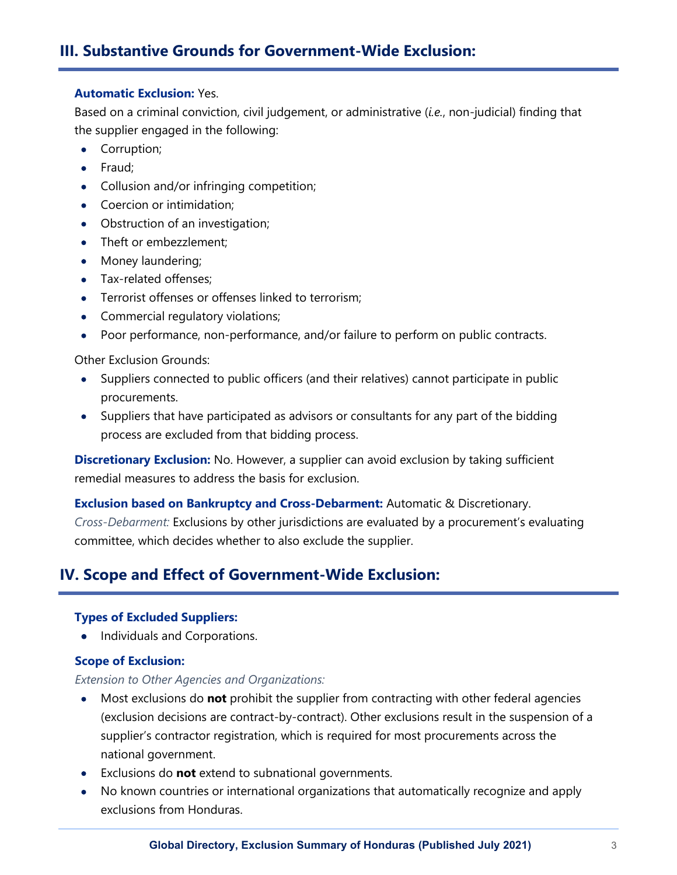# **III. Substantive Grounds for Government-Wide Exclusion:**

### **Automatic Exclusion:** Yes.

Based on a criminal conviction, civil judgement, or administrative (*i.e.*, non-judicial) finding that the supplier engaged in the following:

- Corruption;
- Fraud;
- Collusion and/or infringing competition;
- Coercion or intimidation;
- Obstruction of an investigation;
- Theft or embezzlement;
- Money laundering;
- Tax-related offenses:
- Terrorist offenses or offenses linked to terrorism;
- Commercial regulatory violations;
- Poor performance, non-performance, and/or failure to perform on public contracts.

Other Exclusion Grounds:

- Suppliers connected to public officers (and their relatives) cannot participate in public procurements.
- Suppliers that have participated as advisors or consultants for any part of the bidding process are excluded from that bidding process.

**Discretionary Exclusion:** No. However, a supplier can avoid exclusion by taking sufficient remedial measures to address the basis for exclusion.

**Exclusion based on Bankruptcy and Cross-Debarment:** Automatic & Discretionary.

*Cross-Debarment:* Exclusions by other jurisdictions are evaluated by a procurement's evaluating committee, which decides whether to also exclude the supplier.

# **IV. Scope and Effect of Government-Wide Exclusion:**

## **Types of Excluded Suppliers:**

• Individuals and Corporations.

#### **Scope of Exclusion:**

#### *Extension to Other Agencies and Organizations:*

- Most exclusions do **not** prohibit the supplier from contracting with other federal agencies (exclusion decisions are contract-by-contract). Other exclusions result in the suspension of a supplier's contractor registration, which is required for most procurements across the national government.
- Exclusions do **not** extend to subnational governments.
- No known countries or international organizations that automatically recognize and apply exclusions from Honduras.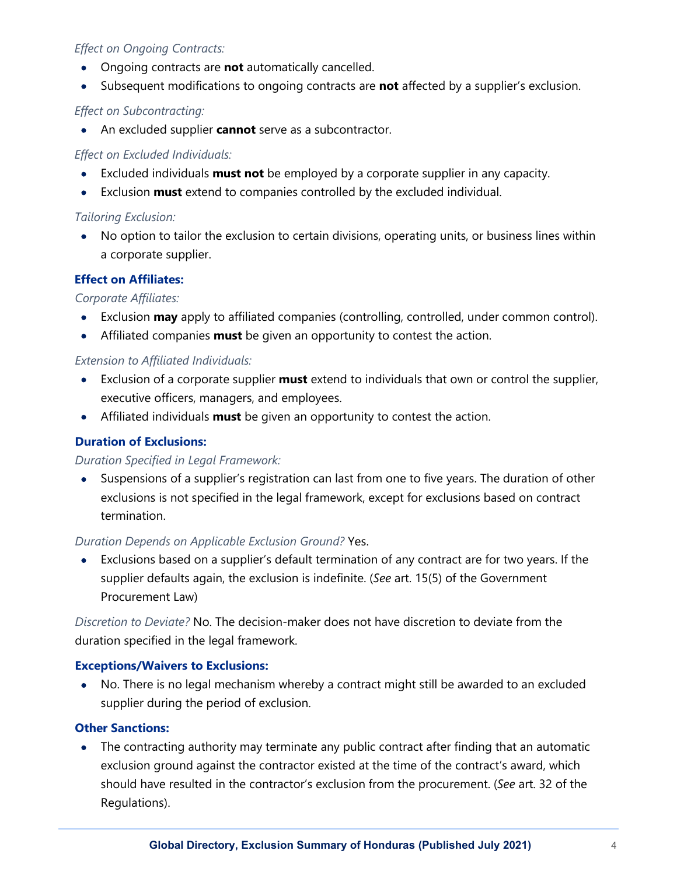## *Effect on Ongoing Contracts:*

- Ongoing contracts are **not** automatically cancelled.
- Subsequent modifications to ongoing contracts are **not** affected by a supplier's exclusion.

## *Effect on Subcontracting:*

• An excluded supplier **cannot** serve as a subcontractor.

## *Effect on Excluded Individuals:*

- Excluded individuals **must not** be employed by a corporate supplier in any capacity.
- Exclusion **must** extend to companies controlled by the excluded individual.

## *Tailoring Exclusion:*

• No option to tailor the exclusion to certain divisions, operating units, or business lines within a corporate supplier.

# **Effect on Affiliates:**

## *Corporate Affiliates:*

- Exclusion **may** apply to affiliated companies (controlling, controlled, under common control).
- Affiliated companies **must** be given an opportunity to contest the action.

## *Extension to Affiliated Individuals:*

- Exclusion of a corporate supplier **must** extend to individuals that own or control the supplier, executive officers, managers, and employees.
- Affiliated individuals **must** be given an opportunity to contest the action.

# **Duration of Exclusions:**

## *Duration Specified in Legal Framework:*

• Suspensions of a supplier's registration can last from one to five years. The duration of other exclusions is not specified in the legal framework, except for exclusions based on contract termination.

# *Duration Depends on Applicable Exclusion Ground?* Yes.

• Exclusions based on a supplier's default termination of any contract are for two years. If the supplier defaults again, the exclusion is indefinite. (*See* art. 15(5) of the Government Procurement Law)

*Discretion to Deviate?* No. The decision-maker does not have discretion to deviate from the duration specified in the legal framework.

## **Exceptions/Waivers to Exclusions:**

• No. There is no legal mechanism whereby a contract might still be awarded to an excluded supplier during the period of exclusion.

## **Other Sanctions:**

• The contracting authority may terminate any public contract after finding that an automatic exclusion ground against the contractor existed at the time of the contract's award, which should have resulted in the contractor's exclusion from the procurement. (*See* art. 32 of the Regulations).